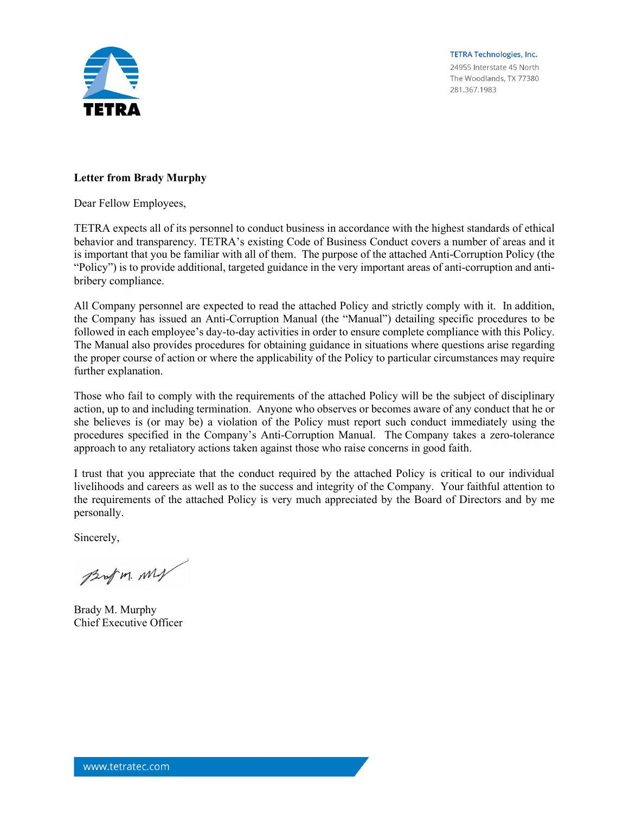

**TETRA Technologies, Inc.** 24955 Interstate 45 North The Woodlands, TX 77380 281.367.1983

## **Letter from Brady Murphy**

Dear Fellow Employees,

TETRA expects all of its personnel to conduct business in accordance with the highest standards of ethical behavior and transparency. TETRA's existing Code of Business Conduct covers a number of areas and it is important that you be familiar with all of them. The purpose of the attached Anti-Corruption Policy (the "Policy") is to provide additional, targeted guidance in the very important areas of anti-corruption and antibribery compliance.

All Company personnel are expected to read the attached Policy and strictly comply with it. In addition, the Company has issued an Anti-Corruption Manual (the "Manual") detailing specific procedures to be followed in each employee's day-to-day activities in order to ensure complete compliance with this Policy. The Manual also provides procedures for obtaining guidance in situations where questions arise regarding the proper course of action or where the applicability of the Policy to particular circumstances may require further explanation.

Those who fail to comply with the requirements of the attached Policy will be the subject of disciplinary action, up to and including termination. Anyone who observes or becomes aware of any conduct that he or she believes is (or may be) a violation of the Policy must report such conduct immediately using the procedures specified in the Company's Anti-Corruption Manual. The Company takes a zero-tolerance approach to any retaliatory actions taken against those who raise concerns in good faith.

I trust that you appreciate that the conduct required by the attached Policy is critical to our individual livelihoods and careers as well as to the success and integrity of the Company. Your faithful attention to the requirements of the attached Policy is very much appreciated by the Board of Directors and by me personally.

Sincerely,

Brof m. My

Brady M. Murphy Chief Executive Officer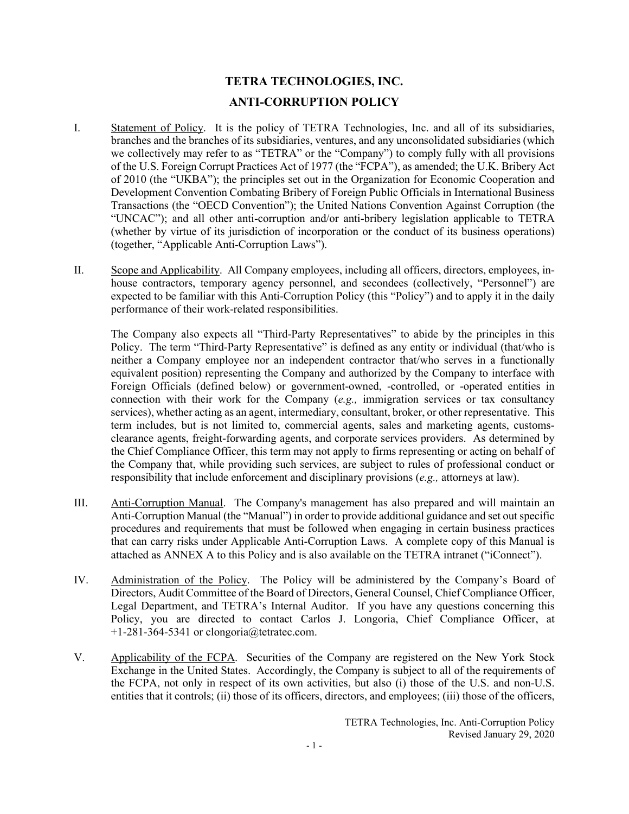# **TETRA TECHNOLOGIES, INC. ANTI-CORRUPTION POLICY**

- I. Statement of Policy. It is the policy of TETRA Technologies, Inc. and all of its subsidiaries, branches and the branches of its subsidiaries, ventures, and any unconsolidated subsidiaries (which we collectively may refer to as "TETRA" or the "Company") to comply fully with all provisions of the U.S. Foreign Corrupt Practices Act of 1977 (the "FCPA"), as amended; the U.K. Bribery Act of 2010 (the "UKBA"); the principles set out in the Organization for Economic Cooperation and Development Convention Combating Bribery of Foreign Public Officials in International Business Transactions (the "OECD Convention"); the United Nations Convention Against Corruption (the "UNCAC"); and all other anti-corruption and/or anti-bribery legislation applicable to TETRA (whether by virtue of its jurisdiction of incorporation or the conduct of its business operations) (together, "Applicable Anti-Corruption Laws").
- II. Scope and Applicability. All Company employees, including all officers, directors, employees, inhouse contractors, temporary agency personnel, and secondees (collectively, "Personnel") are expected to be familiar with this Anti-Corruption Policy (this "Policy") and to apply it in the daily performance of their work-related responsibilities.

The Company also expects all "Third-Party Representatives" to abide by the principles in this Policy. The term "Third-Party Representative" is defined as any entity or individual (that/who is neither a Company employee nor an independent contractor that/who serves in a functionally equivalent position) representing the Company and authorized by the Company to interface with Foreign Officials (defined below) or government-owned, -controlled, or -operated entities in connection with their work for the Company (*e.g.,* immigration services or tax consultancy services), whether acting as an agent, intermediary, consultant, broker, or other representative. This term includes, but is not limited to, commercial agents, sales and marketing agents, customsclearance agents, freight-forwarding agents, and corporate services providers. As determined by the Chief Compliance Officer, this term may not apply to firms representing or acting on behalf of the Company that, while providing such services, are subject to rules of professional conduct or responsibility that include enforcement and disciplinary provisions (*e.g.,* attorneys at law).

- III. Anti-Corruption Manual. The Company's management has also prepared and will maintain an Anti-Corruption Manual (the "Manual") in order to provide additional guidance and set out specific procedures and requirements that must be followed when engaging in certain business practices that can carry risks under Applicable Anti-Corruption Laws. A complete copy of this Manual is attached as ANNEX A to this Policy and is also available on the TETRA intranet ("iConnect").
- IV. Administration of the Policy. The Policy will be administered by the Company's Board of Directors, Audit Committee of the Board of Directors, General Counsel, Chief Compliance Officer, Legal Department, and TETRA's Internal Auditor. If you have any questions concerning this Policy, you are directed to contact Carlos J. Longoria, Chief Compliance Officer, at +1-281-364-5341 or clongoria@tetratec.com.
- V. Applicability of the FCPA. Securities of the Company are registered on the New York Stock Exchange in the United States. Accordingly, the Company is subject to all of the requirements of the FCPA, not only in respect of its own activities, but also (i) those of the U.S. and non-U.S. entities that it controls; (ii) those of its officers, directors, and employees; (iii) those of the officers,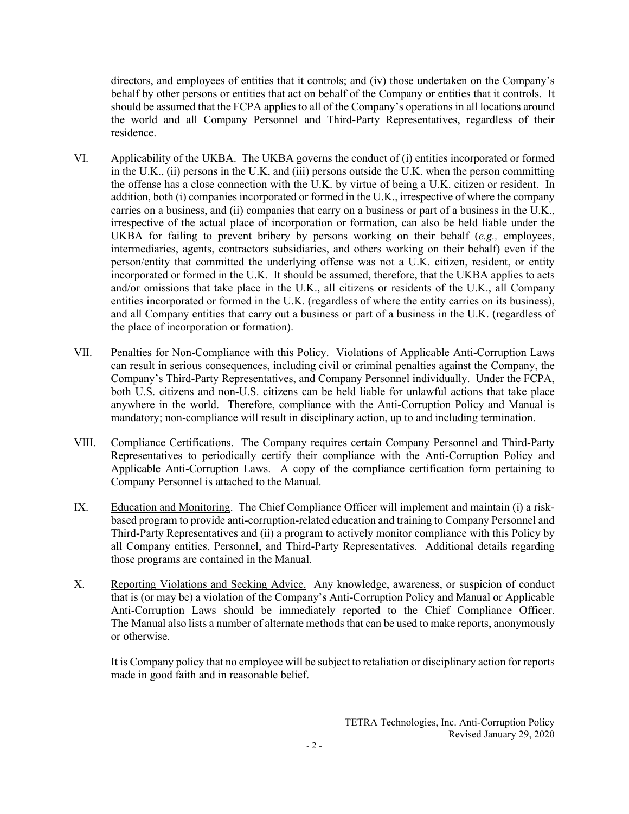directors, and employees of entities that it controls; and (iv) those undertaken on the Company's behalf by other persons or entities that act on behalf of the Company or entities that it controls. It should be assumed that the FCPA applies to all of the Company's operations in all locations around the world and all Company Personnel and Third-Party Representatives, regardless of their residence.

- VI. Applicability of the UKBA. The UKBA governs the conduct of (i) entities incorporated or formed in the U.K., (ii) persons in the U.K, and (iii) persons outside the U.K. when the person committing the offense has a close connection with the U.K. by virtue of being a U.K. citizen or resident. In addition, both (i) companies incorporated or formed in the U.K., irrespective of where the company carries on a business, and (ii) companies that carry on a business or part of a business in the U.K., irrespective of the actual place of incorporation or formation, can also be held liable under the UKBA for failing to prevent bribery by persons working on their behalf (*e.g.,* employees, intermediaries, agents, contractors subsidiaries, and others working on their behalf) even if the person/entity that committed the underlying offense was not a U.K. citizen, resident, or entity incorporated or formed in the U.K. It should be assumed, therefore, that the UKBA applies to acts and/or omissions that take place in the U.K., all citizens or residents of the U.K., all Company entities incorporated or formed in the U.K. (regardless of where the entity carries on its business), and all Company entities that carry out a business or part of a business in the U.K. (regardless of the place of incorporation or formation).
- VII. Penalties for Non-Compliance with this Policy. Violations of Applicable Anti-Corruption Laws can result in serious consequences, including civil or criminal penalties against the Company, the Company's Third-Party Representatives, and Company Personnel individually. Under the FCPA, both U.S. citizens and non-U.S. citizens can be held liable for unlawful actions that take place anywhere in the world. Therefore, compliance with the Anti-Corruption Policy and Manual is mandatory; non-compliance will result in disciplinary action, up to and including termination.
- VIII. Compliance Certifications. The Company requires certain Company Personnel and Third-Party Representatives to periodically certify their compliance with the Anti-Corruption Policy and Applicable Anti-Corruption Laws. A copy of the compliance certification form pertaining to Company Personnel is attached to the Manual.
- IX. Education and Monitoring. The Chief Compliance Officer will implement and maintain (i) a riskbased program to provide anti-corruption-related education and training to Company Personnel and Third-Party Representatives and (ii) a program to actively monitor compliance with this Policy by all Company entities, Personnel, and Third-Party Representatives. Additional details regarding those programs are contained in the Manual.
- X. Reporting Violations and Seeking Advice. Any knowledge, awareness, or suspicion of conduct that is (or may be) a violation of the Company's Anti-Corruption Policy and Manual or Applicable Anti-Corruption Laws should be immediately reported to the Chief Compliance Officer. The Manual also lists a number of alternate methods that can be used to make reports, anonymously or otherwise.

It is Company policy that no employee will be subject to retaliation or disciplinary action for reports made in good faith and in reasonable belief.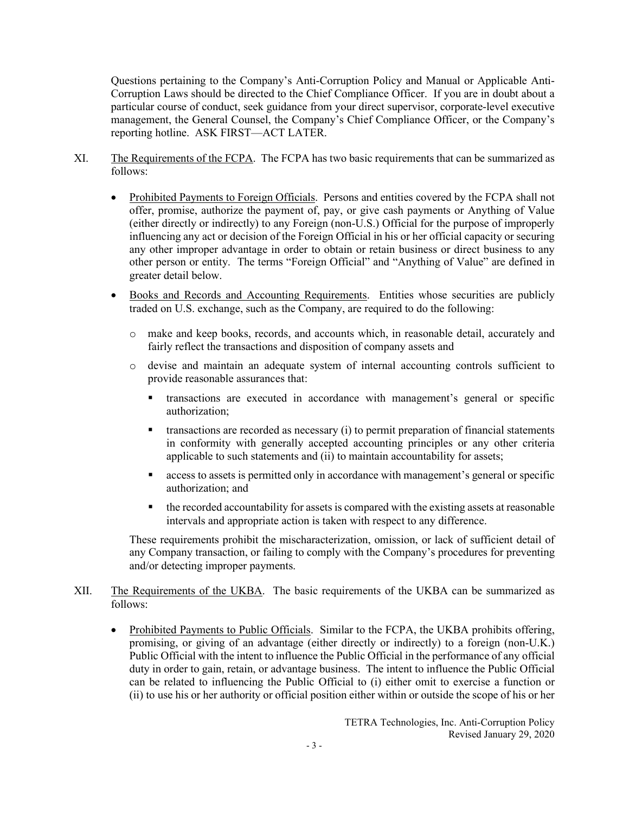Questions pertaining to the Company's Anti-Corruption Policy and Manual or Applicable Anti-Corruption Laws should be directed to the Chief Compliance Officer. If you are in doubt about a particular course of conduct, seek guidance from your direct supervisor, corporate-level executive management, the General Counsel, the Company's Chief Compliance Officer, or the Company's reporting hotline. ASK FIRST—ACT LATER.

- XI. The Requirements of the FCPA. The FCPA has two basic requirements that can be summarized as follows:
	- Prohibited Payments to Foreign Officials. Persons and entities covered by the FCPA shall not offer, promise, authorize the payment of, pay, or give cash payments or Anything of Value (either directly or indirectly) to any Foreign (non-U.S.) Official for the purpose of improperly influencing any act or decision of the Foreign Official in his or her official capacity or securing any other improper advantage in order to obtain or retain business or direct business to any other person or entity. The terms "Foreign Official" and "Anything of Value" are defined in greater detail below.
	- Books and Records and Accounting Requirements. Entities whose securities are publicly traded on U.S. exchange, such as the Company, are required to do the following:
		- o make and keep books, records, and accounts which, in reasonable detail, accurately and fairly reflect the transactions and disposition of company assets and
		- o devise and maintain an adequate system of internal accounting controls sufficient to provide reasonable assurances that:
			- transactions are executed in accordance with management's general or specific authorization;
			- $\blacksquare$  transactions are recorded as necessary (i) to permit preparation of financial statements in conformity with generally accepted accounting principles or any other criteria applicable to such statements and (ii) to maintain accountability for assets;
			- access to assets is permitted only in accordance with management's general or specific authorization; and
			- the recorded accountability for assets is compared with the existing assets at reasonable intervals and appropriate action is taken with respect to any difference.

These requirements prohibit the mischaracterization, omission, or lack of sufficient detail of any Company transaction, or failing to comply with the Company's procedures for preventing and/or detecting improper payments.

- XII. The Requirements of the UKBA. The basic requirements of the UKBA can be summarized as follows:
	- Prohibited Payments to Public Officials. Similar to the FCPA, the UKBA prohibits offering, promising, or giving of an advantage (either directly or indirectly) to a foreign (non-U.K.) Public Official with the intent to influence the Public Official in the performance of any official duty in order to gain, retain, or advantage business. The intent to influence the Public Official can be related to influencing the Public Official to (i) either omit to exercise a function or (ii) to use his or her authority or official position either within or outside the scope of his or her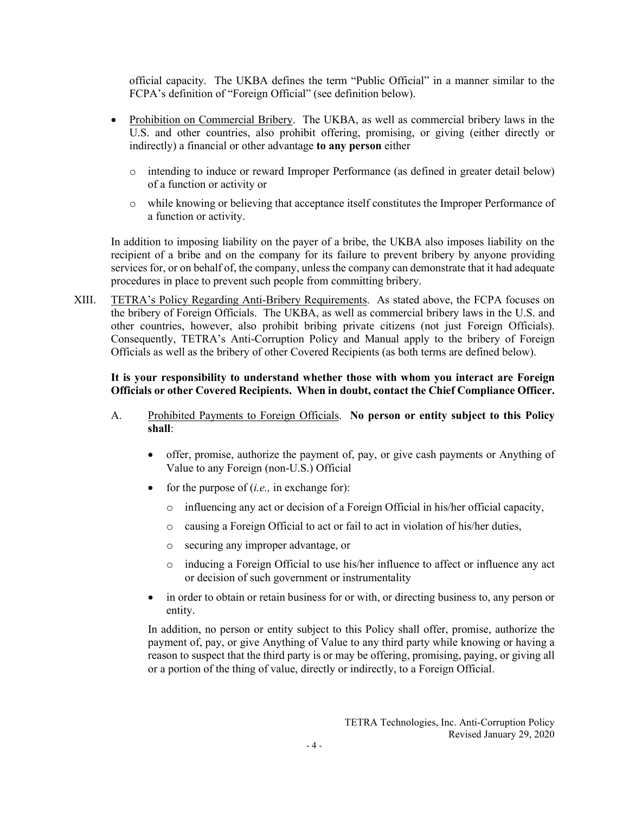official capacity. The UKBA defines the term "Public Official" in a manner similar to the FCPA's definition of "Foreign Official" (see definition below).

- Prohibition on Commercial Bribery. The UKBA, as well as commercial bribery laws in the U.S. and other countries, also prohibit offering, promising, or giving (either directly or indirectly) a financial or other advantage **to any person** either
	- o intending to induce or reward Improper Performance (as defined in greater detail below) of a function or activity or
	- o while knowing or believing that acceptance itself constitutes the Improper Performance of a function or activity.

In addition to imposing liability on the payer of a bribe, the UKBA also imposes liability on the recipient of a bribe and on the company for its failure to prevent bribery by anyone providing services for, or on behalf of, the company, unless the company can demonstrate that it had adequate procedures in place to prevent such people from committing bribery.

XIII. TETRA's Policy Regarding Anti-Bribery Requirements. As stated above, the FCPA focuses on the bribery of Foreign Officials. The UKBA, as well as commercial bribery laws in the U.S. and other countries, however, also prohibit bribing private citizens (not just Foreign Officials). Consequently, TETRA's Anti-Corruption Policy and Manual apply to the bribery of Foreign Officials as well as the bribery of other Covered Recipients (as both terms are defined below).

## **It is your responsibility to understand whether those with whom you interact are Foreign Officials or other Covered Recipients. When in doubt, contact the Chief Compliance Officer.**

- A. Prohibited Payments to Foreign Officials. **No person or entity subject to this Policy shall**:
	- offer, promise, authorize the payment of, pay, or give cash payments or Anything of Value to any Foreign (non-U.S.) Official
	- for the purpose of (*i.e.,* in exchange for):
		- o influencing any act or decision of a Foreign Official in his/her official capacity,
		- o causing a Foreign Official to act or fail to act in violation of his/her duties,
		- o securing any improper advantage, or
		- o inducing a Foreign Official to use his/her influence to affect or influence any act or decision of such government or instrumentality
	- in order to obtain or retain business for or with, or directing business to, any person or entity.

In addition, no person or entity subject to this Policy shall offer, promise, authorize the payment of, pay, or give Anything of Value to any third party while knowing or having a reason to suspect that the third party is or may be offering, promising, paying, or giving all or a portion of the thing of value, directly or indirectly, to a Foreign Official.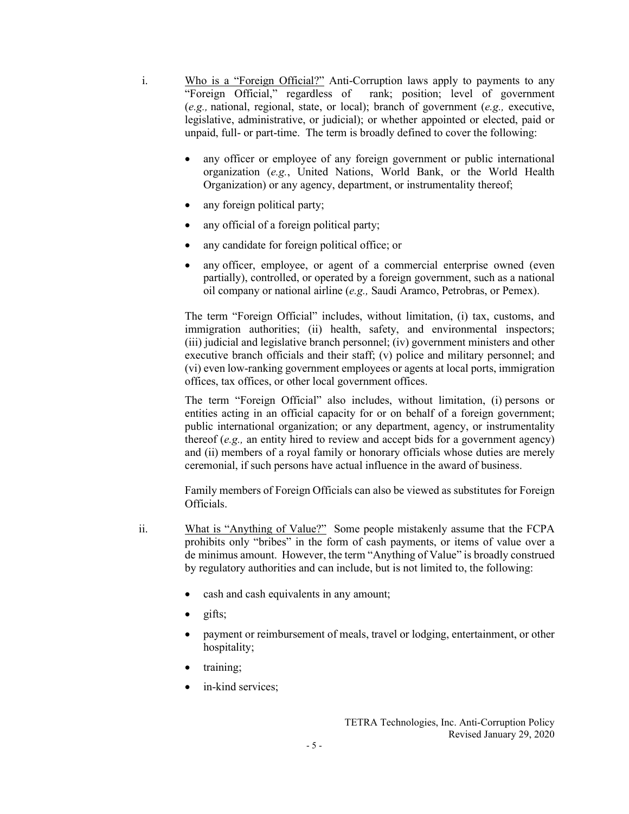- i. Who is a "Foreign Official?" Anti-Corruption laws apply to payments to any "Foreign Official," regardless of rank; position; level of government (*e.g.,* national, regional, state, or local); branch of government (*e.g.,* executive, legislative, administrative, or judicial); or whether appointed or elected, paid or unpaid, full- or part-time. The term is broadly defined to cover the following:
	- any officer or employee of any foreign government or public international organization (*e.g.*, United Nations, World Bank, or the World Health Organization) or any agency, department, or instrumentality thereof;
	- any foreign political party;
	- any official of a foreign political party;
	- any candidate for foreign political office; or
	- any officer, employee, or agent of a commercial enterprise owned (even partially), controlled, or operated by a foreign government, such as a national oil company or national airline (*e.g.,* Saudi Aramco, Petrobras, or Pemex).

The term "Foreign Official" includes, without limitation, (i) tax, customs, and immigration authorities; (ii) health, safety, and environmental inspectors; (iii) judicial and legislative branch personnel; (iv) government ministers and other executive branch officials and their staff; (v) police and military personnel; and (vi) even low-ranking government employees or agents at local ports, immigration offices, tax offices, or other local government offices.

The term "Foreign Official" also includes, without limitation, (i) persons or entities acting in an official capacity for or on behalf of a foreign government; public international organization; or any department, agency, or instrumentality thereof (*e.g.,* an entity hired to review and accept bids for a government agency) and (ii) members of a royal family or honorary officials whose duties are merely ceremonial, if such persons have actual influence in the award of business.

Family members of Foreign Officials can also be viewed as substitutes for Foreign Officials.

- ii. What is "Anything of Value?" Some people mistakenly assume that the FCPA prohibits only "bribes" in the form of cash payments, or items of value over a de minimus amount. However, the term "Anything of Value" is broadly construed by regulatory authorities and can include, but is not limited to, the following:
	- cash and cash equivalents in any amount;
	- gifts;
	- payment or reimbursement of meals, travel or lodging, entertainment, or other hospitality;
	- training;
	- in-kind services: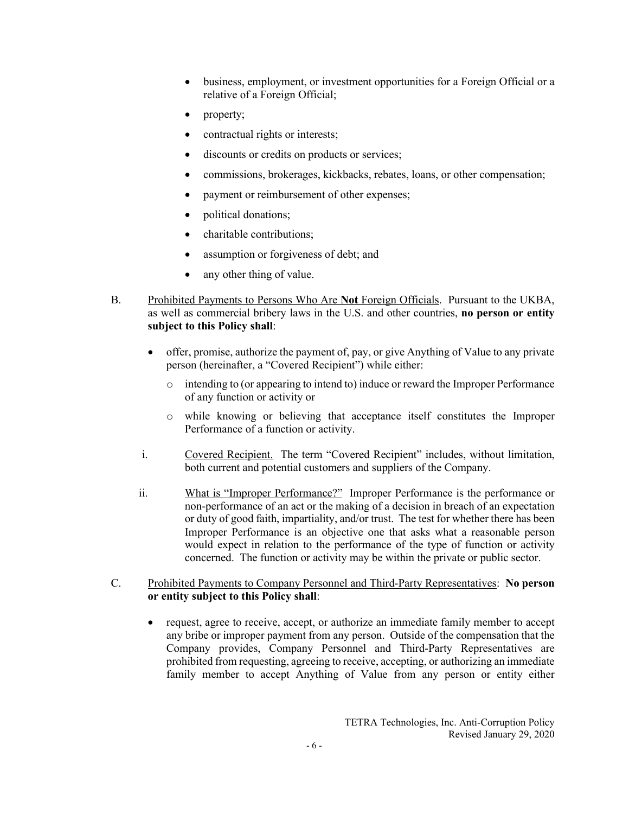- business, employment, or investment opportunities for a Foreign Official or a relative of a Foreign Official;
- property;
- contractual rights or interests;
- discounts or credits on products or services;
- commissions, brokerages, kickbacks, rebates, loans, or other compensation;
- payment or reimbursement of other expenses;
- political donations;
- charitable contributions;
- assumption or forgiveness of debt; and
- any other thing of value.
- B. Prohibited Payments to Persons Who Are **Not** Foreign Officials. Pursuant to the UKBA, as well as commercial bribery laws in the U.S. and other countries, **no person or entity subject to this Policy shall**:
	- offer, promise, authorize the payment of, pay, or give Anything of Value to any private person (hereinafter, a "Covered Recipient") while either:
		- o intending to (or appearing to intend to) induce or reward the Improper Performance of any function or activity or
		- o while knowing or believing that acceptance itself constitutes the Improper Performance of a function or activity.
	- i. Covered Recipient. The term "Covered Recipient" includes, without limitation, both current and potential customers and suppliers of the Company.
	- ii. What is "Improper Performance?" Improper Performance is the performance or non-performance of an act or the making of a decision in breach of an expectation or duty of good faith, impartiality, and/or trust. The test for whether there has been Improper Performance is an objective one that asks what a reasonable person would expect in relation to the performance of the type of function or activity concerned. The function or activity may be within the private or public sector.

#### C. Prohibited Payments to Company Personnel and Third-Party Representatives: **No person or entity subject to this Policy shall**:

• request, agree to receive, accept, or authorize an immediate family member to accept any bribe or improper payment from any person. Outside of the compensation that the Company provides, Company Personnel and Third-Party Representatives are prohibited from requesting, agreeing to receive, accepting, or authorizing an immediate family member to accept Anything of Value from any person or entity either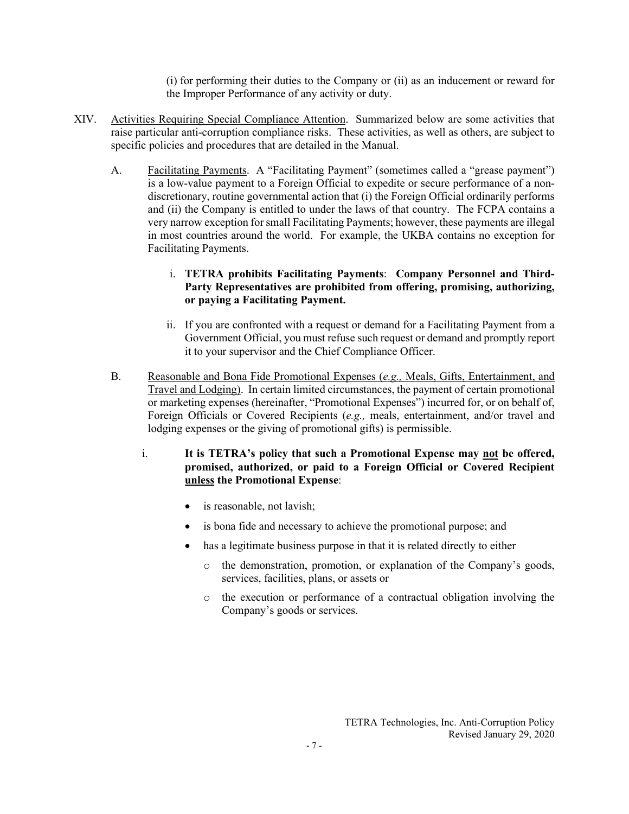(i) for performing their duties to the Company or (ii) as an inducement or reward for the Improper Performance of any activity or duty.

- XIV. Activities Requiring Special Compliance Attention. Summarized below are some activities that raise particular anti-corruption compliance risks. These activities, as well as others, are subject to specific policies and procedures that are detailed in the Manual.
	- A. Facilitating Payments. A "Facilitating Payment" (sometimes called a "grease payment") is a low-value payment to a Foreign Official to expedite or secure performance of a nondiscretionary, routine governmental action that (i) the Foreign Official ordinarily performs and (ii) the Company is entitled to under the laws of that country. The FCPA contains a very narrow exception for small Facilitating Payments; however, these payments are illegal in most countries around the world. For example, the UKBA contains no exception for Facilitating Payments.

## i. **TETRA prohibits Facilitating Payments**: **Company Personnel and Third-Party Representatives are prohibited from offering, promising, authorizing, or paying a Facilitating Payment.**

- ii. If you are confronted with a request or demand for a Facilitating Payment from a Government Official, you must refuse such request or demand and promptly report it to your supervisor and the Chief Compliance Officer.
- B. Reasonable and Bona Fide Promotional Expenses (*e.g.,* Meals, Gifts, Entertainment, and Travel and Lodging). In certain limited circumstances, the payment of certain promotional or marketing expenses (hereinafter, "Promotional Expenses") incurred for, or on behalf of, Foreign Officials or Covered Recipients (*e.g.,* meals, entertainment, and/or travel and lodging expenses or the giving of promotional gifts) is permissible.
	- i. **It is TETRA's policy that such a Promotional Expense may not be offered, promised, authorized, or paid to a Foreign Official or Covered Recipient unless the Promotional Expense**:
		- is reasonable, not lavish;
		- is bona fide and necessary to achieve the promotional purpose; and
		- has a legitimate business purpose in that it is related directly to either
			- o the demonstration, promotion, or explanation of the Company's goods, services, facilities, plans, or assets or
			- o the execution or performance of a contractual obligation involving the Company's goods or services.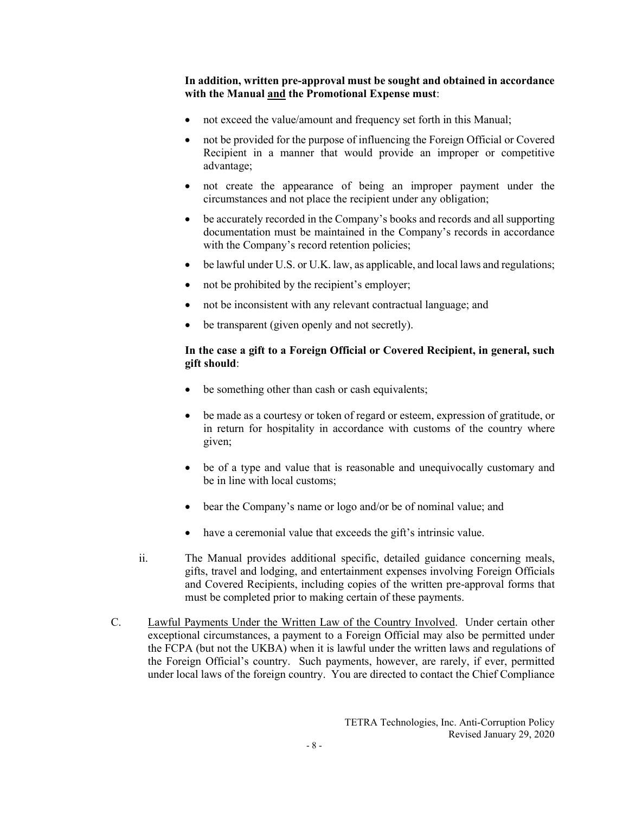**In addition, written pre-approval must be sought and obtained in accordance with the Manual and the Promotional Expense must**:

- not exceed the value/amount and frequency set forth in this Manual;
- not be provided for the purpose of influencing the Foreign Official or Covered Recipient in a manner that would provide an improper or competitive advantage;
- not create the appearance of being an improper payment under the circumstances and not place the recipient under any obligation;
- be accurately recorded in the Company's books and records and all supporting documentation must be maintained in the Company's records in accordance with the Company's record retention policies;
- be lawful under U.S. or U.K. law, as applicable, and local laws and regulations;
- not be prohibited by the recipient's employer;
- not be inconsistent with any relevant contractual language; and
- be transparent (given openly and not secretly).

### **In the case a gift to a Foreign Official or Covered Recipient, in general, such gift should**:

- be something other than cash or cash equivalents;
- be made as a courtesy or token of regard or esteem, expression of gratitude, or in return for hospitality in accordance with customs of the country where given;
- be of a type and value that is reasonable and unequivocally customary and be in line with local customs;
- bear the Company's name or logo and/or be of nominal value; and
- have a ceremonial value that exceeds the gift's intrinsic value.
- ii. The Manual provides additional specific, detailed guidance concerning meals, gifts, travel and lodging, and entertainment expenses involving Foreign Officials and Covered Recipients, including copies of the written pre-approval forms that must be completed prior to making certain of these payments.
- C. Lawful Payments Under the Written Law of the Country Involved. Under certain other exceptional circumstances, a payment to a Foreign Official may also be permitted under the FCPA (but not the UKBA) when it is lawful under the written laws and regulations of the Foreign Official's country. Such payments, however, are rarely, if ever, permitted under local laws of the foreign country. You are directed to contact the Chief Compliance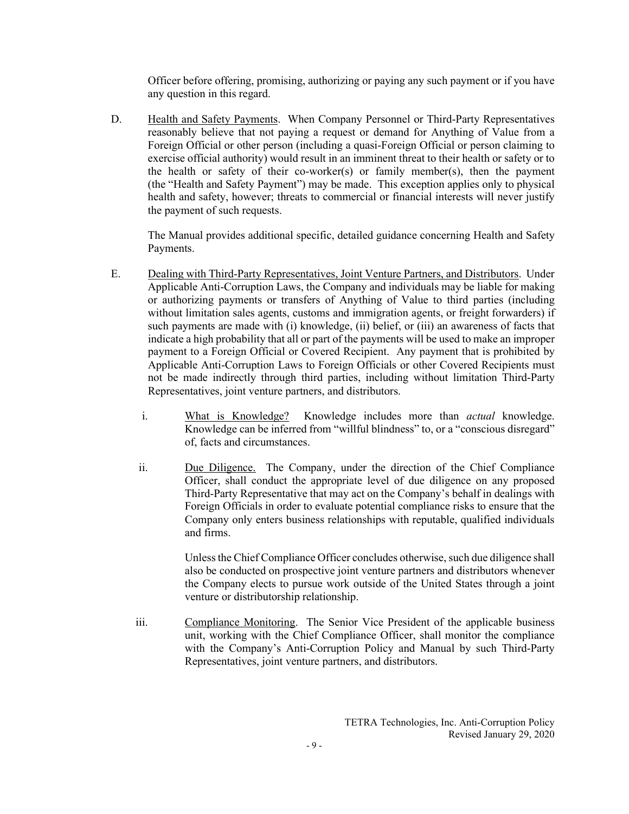Officer before offering, promising, authorizing or paying any such payment or if you have any question in this regard.

D. Health and Safety Payments. When Company Personnel or Third-Party Representatives reasonably believe that not paying a request or demand for Anything of Value from a Foreign Official or other person (including a quasi-Foreign Official or person claiming to exercise official authority) would result in an imminent threat to their health or safety or to the health or safety of their co-worker(s) or family member(s), then the payment (the "Health and Safety Payment") may be made. This exception applies only to physical health and safety, however; threats to commercial or financial interests will never justify the payment of such requests.

The Manual provides additional specific, detailed guidance concerning Health and Safety Payments.

- E. Dealing with Third-Party Representatives, Joint Venture Partners, and Distributors. Under Applicable Anti-Corruption Laws, the Company and individuals may be liable for making or authorizing payments or transfers of Anything of Value to third parties (including without limitation sales agents, customs and immigration agents, or freight forwarders) if such payments are made with (i) knowledge, (ii) belief, or (iii) an awareness of facts that indicate a high probability that all or part of the payments will be used to make an improper payment to a Foreign Official or Covered Recipient. Any payment that is prohibited by Applicable Anti-Corruption Laws to Foreign Officials or other Covered Recipients must not be made indirectly through third parties, including without limitation Third-Party Representatives, joint venture partners, and distributors.
	- i. What is Knowledge? Knowledge includes more than *actual* knowledge. Knowledge can be inferred from "willful blindness" to, or a "conscious disregard" of, facts and circumstances.
	- ii. Due Diligence. The Company, under the direction of the Chief Compliance Officer, shall conduct the appropriate level of due diligence on any proposed Third-Party Representative that may act on the Company's behalf in dealings with Foreign Officials in order to evaluate potential compliance risks to ensure that the Company only enters business relationships with reputable, qualified individuals and firms.

Unless the Chief Compliance Officer concludes otherwise, such due diligence shall also be conducted on prospective joint venture partners and distributors whenever the Company elects to pursue work outside of the United States through a joint venture or distributorship relationship.

iii. Compliance Monitoring. The Senior Vice President of the applicable business unit, working with the Chief Compliance Officer, shall monitor the compliance with the Company's Anti-Corruption Policy and Manual by such Third-Party Representatives, joint venture partners, and distributors.